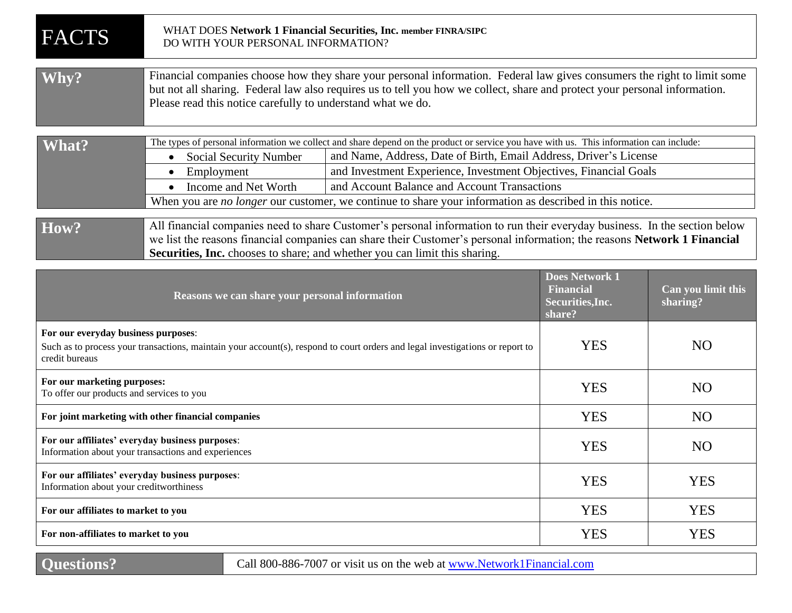| <b>FACTS</b>                                                                                                                                                                           | WHAT DOES Network 1 Financial Securities, Inc. member FINRA/SIPC<br>DO WITH YOUR PERSONAL INFORMATION?                                                                                                                                                                                                                                                                                                                                                                                                                           |  |                                                                         |                                |  |  |
|----------------------------------------------------------------------------------------------------------------------------------------------------------------------------------------|----------------------------------------------------------------------------------------------------------------------------------------------------------------------------------------------------------------------------------------------------------------------------------------------------------------------------------------------------------------------------------------------------------------------------------------------------------------------------------------------------------------------------------|--|-------------------------------------------------------------------------|--------------------------------|--|--|
| Why?                                                                                                                                                                                   | Financial companies choose how they share your personal information. Federal law gives consumers the right to limit some<br>but not all sharing. Federal law also requires us to tell you how we collect, share and protect your personal information.<br>Please read this notice carefully to understand what we do.                                                                                                                                                                                                            |  |                                                                         |                                |  |  |
| What?                                                                                                                                                                                  | The types of personal information we collect and share depend on the product or service you have with us. This information can include:<br>and Name, Address, Date of Birth, Email Address, Driver's License<br><b>Social Security Number</b><br>and Investment Experience, Investment Objectives, Financial Goals<br>Employment<br>$\bullet$<br>and Account Balance and Account Transactions<br>Income and Net Worth<br>When you are no longer our customer, we continue to share your information as described in this notice. |  |                                                                         |                                |  |  |
| How?                                                                                                                                                                                   | All financial companies need to share Customer's personal information to run their everyday business. In the section below<br>we list the reasons financial companies can share their Customer's personal information; the reasons Network 1 Financial<br>Securities, Inc. chooses to share; and whether you can limit this sharing.                                                                                                                                                                                             |  |                                                                         |                                |  |  |
|                                                                                                                                                                                        | Reasons we can share your personal information                                                                                                                                                                                                                                                                                                                                                                                                                                                                                   |  | <b>Does Network 1</b><br><b>Financial</b><br>Securities, Inc.<br>share? | Can you limit this<br>sharing? |  |  |
| For our everyday business purposes:<br>Such as to process your transactions, maintain your account(s), respond to court orders and legal investigations or report to<br>credit bureaus |                                                                                                                                                                                                                                                                                                                                                                                                                                                                                                                                  |  | <b>YES</b>                                                              | N <sub>O</sub>                 |  |  |
| For our marketing purposes:<br>To offer our products and services to you                                                                                                               |                                                                                                                                                                                                                                                                                                                                                                                                                                                                                                                                  |  | <b>YES</b>                                                              | N <sub>O</sub>                 |  |  |
| For joint marketing with other financial companies                                                                                                                                     |                                                                                                                                                                                                                                                                                                                                                                                                                                                                                                                                  |  | <b>YES</b>                                                              | N <sub>O</sub>                 |  |  |
| For our affiliates' everyday business purposes:<br>Information about your transactions and experiences                                                                                 |                                                                                                                                                                                                                                                                                                                                                                                                                                                                                                                                  |  | <b>YES</b>                                                              | N <sub>O</sub>                 |  |  |
| For our affiliates' everyday business purposes:<br>Information about your creditworthiness                                                                                             |                                                                                                                                                                                                                                                                                                                                                                                                                                                                                                                                  |  | <b>YES</b>                                                              | <b>YES</b>                     |  |  |
| For our affiliates to market to you                                                                                                                                                    |                                                                                                                                                                                                                                                                                                                                                                                                                                                                                                                                  |  | <b>YES</b>                                                              | <b>YES</b>                     |  |  |
| For non-affiliates to market to you                                                                                                                                                    |                                                                                                                                                                                                                                                                                                                                                                                                                                                                                                                                  |  | <b>YES</b>                                                              | <b>YES</b>                     |  |  |

**Questions?** Call 800-886-7007 or visit us on the web at www.Network1Financial.com